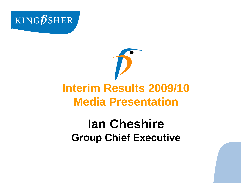



# **lan Cheshire Group Chief Executive**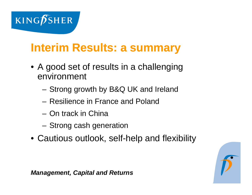

## **Interim Results: a summary**

- A good set of results in a challenging environment
	- Strong growth by B&Q UK and Ireland
	- Resilience in France and Poland
	- On track in China
	- –Strong cash generation
- Cautious outlook, self-help and flexibility

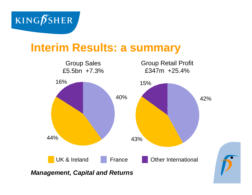

## **Interim Results: a summary**

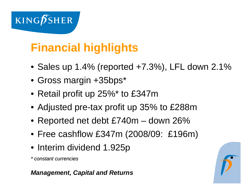

# **Financial highlights**

- Sales up 1.4% (reported +7.3%), LFL down 2.1%
- Gross mar gin +35bps\*
- Retail profit up 25%\* to £347m
- $\bullet$  Adjusted pre-tax profit up 35% to £288m
- Reported net debt £740m down 26%
- Free cashflow £347m (2008/09: £196m)
- Interim dividend 1.925p

*\* constant currencies*

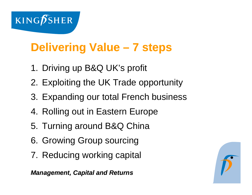

# **Delivering Value - 7 steps**

- 1. Driving up B&Q UK's profit
- 2. Exploiting the UK Trade opportunity
- 3. Expanding our total French business
- 4. Rolling out in Eastern Europe
- 5. Turning around B&Q China
- 6. Growing Group sourcing
- 7. Reducing working capital

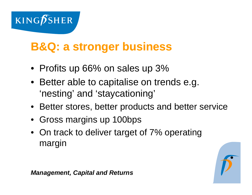

## **B&Q: a stronger business**

- Profits up 66% on sales up 3%
- Better able to capitalise on trends e.g. 'nesting' and 'staycationing'
- Better stores, better products and better service
- Gross margins up 100bps
- $\bullet~$  On track to deliver target of 7% operating margin

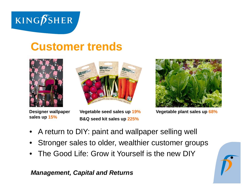

## **Customer trends**







**Vegetable plant sales up 68%**

Sales up 15% **sales up 15% Designer wallpaper** 

**Vegetable seed sales up 19% B&Q seed kit sales up 225%**

- •A return to DIY: paint and wallpaper selling well
- •Stronger sales to older, wealthier customer groups
- •The Good Life: Grow it Yourself is the new DIY

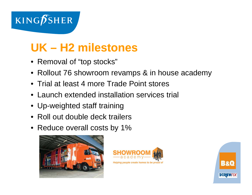

## **UK – H2 milestones**

- Removal of "top stocks"
- Rollout 76 showroom revamps & in house academy
- Trial at least 4 more Trade Point stores
- Launch extended installation services trial
- $\bullet\,$  Up-weighted staff training
- Roll out double deck trailers
- Reduce overall costs by 1%





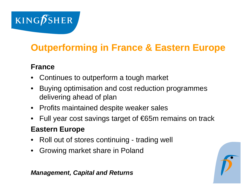

## **Outperforming in France & Eastern Europe**

#### **France**

- Continues to outperform a tough market
- • Buying optimisation and cost reduction programmes delivering ahead of plan
- Profits maintained despite weaker sales
- •Full year cost savings target of €65m remains on track

#### **Eastern Europe**

- •Roll out of stores continuing - trading well
- •Growing market share in Poland

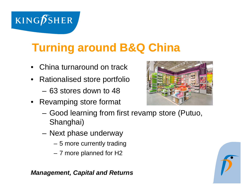

# **Turning around B&Q China**

- •China turnaround on track
- • Rationalised store portfolio
	- 63 stores down to 48
- Revamping store format
	- Good learning from first revamp store (Putuo, Shanghai)
	- Next phase underway
		- 5 more currently trading
		- 7 more planned for H2





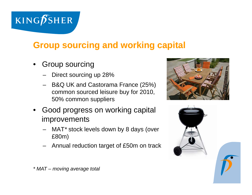

### **Group sourcing and working capital**

- • Group sourcing
	- Direct sourcing up 28%
	- $\,$  B&Q UK and Castorama France (25%) common sourced leisure buy for 2010, 50% common suppliers
- • Good progress on working capital improvements
	- MAT *\** stock levels down by 8 days (over £80m)
	- Annual reduction target of £50m on track





*\* MAT – moving average total*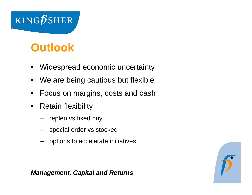

## **Outlook**

- $\bullet$ Widespread economic uncertainty
- $\bullet$ We are being cautious but flexible
- $\bullet$ Focus on margins, costs and cash
- $\bullet$  Retain flexibility
	- replen vs fixed buy
	- special order vs stocked
	- options to accelerate initiatives